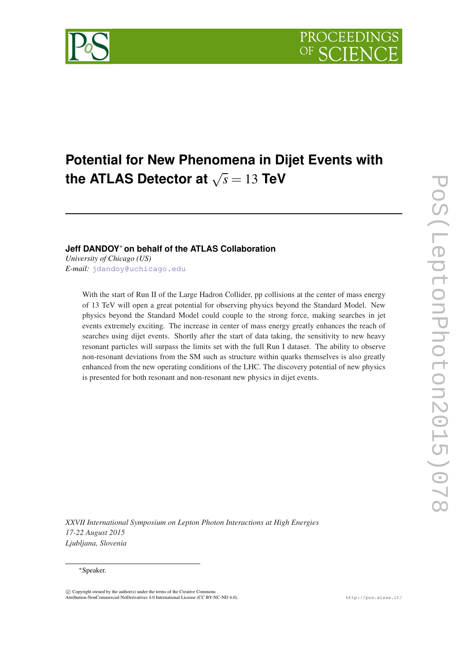

# **Potential for New Phenomena in Dijet Events with**  $\bf{t}$  become the  $\bf{t}$  the  $\sqrt{s}$  = 13  $\bf{t}$ eV

## **Jeff DANDOY**<sup>∗</sup> **on behalf of the ATLAS Collaboration**

*University of Chicago (US) E-mail:* [jdandoy@uchicago.edu](mailto:jdandoy@uchicago.edu)

> With the start of Run II of the Large Hadron Collider, pp collisions at the center of mass energy of 13 TeV will open a great potential for observing physics beyond the Standard Model. New physics beyond the Standard Model could couple to the strong force, making searches in jet events extremely exciting. The increase in center of mass energy greatly enhances the reach of searches using dijet events. Shortly after the start of data taking, the sensitivity to new heavy resonant particles will surpass the limits set with the full Run I dataset. The ability to observe non-resonant deviations from the SM such as structure within quarks themselves is also greatly enhanced from the new operating conditions of the LHC. The discovery potential of new physics is presented for both resonant and non-resonant new physics in dijet events.

*XXVII International Symposium on Lepton Photon Interactions at High Energies 17-22 August 2015 Ljubljana, Slovenia*

#### <sup>∗</sup>Speaker.

 $\overline{c}$  Copyright owned by the author(s) under the terms of the Creative Commons Attribution-NonCommercial-NoDerivatives 4.0 International License (CC BY-NC-ND 4.0). http://pos.sissa.it/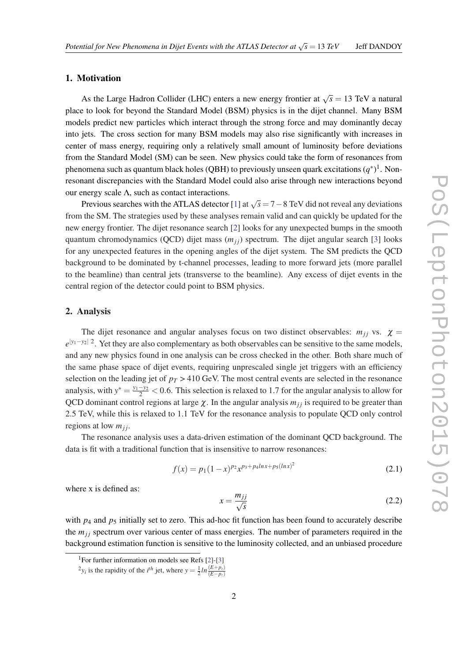#### 1. Motivation

As the Large Hadron Collider (LHC) enters a new energy frontier at  $\sqrt{s} = 13$  TeV a natural place to look for beyond the Standard Model (BSM) physics is in the dijet channel. Many BSM models predict new particles which interact through the strong force and may dominantly decay into jets. The cross section for many BSM models may also rise significantly with increases in center of mass energy, requiring only a relatively small amount of luminosity before deviations from the Standard Model (SM) can be seen. New physics could take the form of resonances from phenomena such as quantum black holes (QBH) to previously unseen quark excitations  $(q^*)^1$ . Nonresonant discrepancies with the Standard Model could also arise through new interactions beyond our energy scale  $\Lambda$ , such as contact interactions.

Previous searches with the ATLAS detector [\[1\]](#page-3-0) at <sup>√</sup> *s* = 7−8 TeV did not reveal any deviations from the SM. The strategies used by these analyses remain valid and can quickly be updated for the new energy frontier. The dijet resonance search [[2](#page-3-0)] looks for any unexpected bumps in the smooth quantum chromodynamics (QCD) dijet mass  $(m_{ij})$  spectrum. The dijet angular search [[3](#page-3-0)] looks for any unexpected features in the opening angles of the dijet system. The SM predicts the QCD background to be dominated by t-channel processes, leading to more forward jets (more parallel to the beamline) than central jets (transverse to the beamline). Any excess of dijet events in the central region of the detector could point to BSM physics.

#### 2. Analysis

The dijet resonance and angular analyses focus on two distinct observables:  $m_{ij}$  vs.  $\chi$ *e*<sup>|y<sub>1</sub>−y<sub>2</sub>| 2</sub>. Yet they are also complementary as both observables can be sensitive to the same models,</sup> and any new physics found in one analysis can be cross checked in the other. Both share much of the same phase space of dijet events, requiring unprescaled single jet triggers with an efficiency selection on the leading jet of  $p_T > 410$  GeV. The most central events are selected in the resonance analysis, with  $y^* = \frac{y_1 - y_2}{2}$  < 0.6. This selection is relaxed to 1.7 for the angular analysis to allow for QCD dominant control regions at large  $\chi$ . In the angular analysis  $m_{ij}$  is required to be greater than 2.5 TeV, while this is relaxed to 1.1 TeV for the resonance analysis to populate QCD only control regions at low *mj j*.

The resonance analysis uses a data-driven estimation of the dominant QCD background. The data is fit with a traditional function that is insensitive to narrow resonances:

$$
f(x) = p_1(1-x)^{p_2} x^{p_3 + p_4 \ln x + p_5(\ln x)^2}
$$
\n(2.1)

where x is defined as:

$$
x = \frac{m_{jj}}{\sqrt{s}}\tag{2.2}
$$

with  $p_4$  and  $p_5$  initially set to zero. This ad-hoc fit function has been found to accurately describe the  $m_{ij}$  spectrum over various center of mass energies. The number of parameters required in the background estimation function is sensitive to the luminosity collected, and an unbiased procedure

<sup>&</sup>lt;sup>1</sup>For further information on models see Refs  $[2]-[3]$  $[2]-[3]$  $[2]-[3]$  $[2]-[3]$ 

 $2y_i$  is the rapidity of the *i*<sup>th</sup> jet, where  $y = \frac{1}{2} \ln \frac{(E + p_z)}{(E - p_z)}$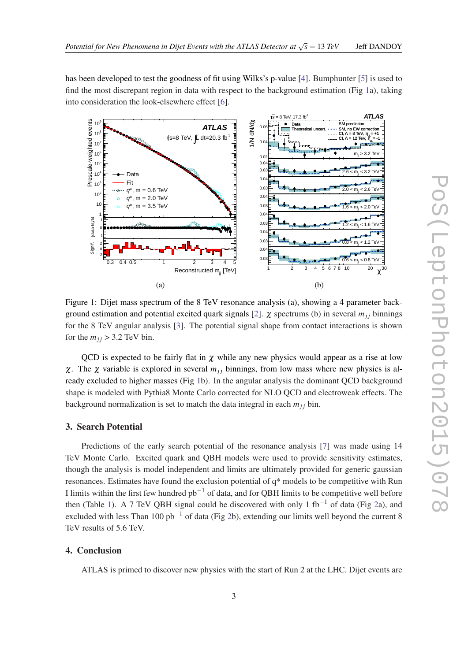has been developed to test the goodness of fit using Wilks's p-value [\[4\]](#page-3-0). Bumphunter [\[5\]](#page-3-0) is used to find the most discrepant region in data with respect to the background estimation (Fig 1a), taking into consideration the look-elsewhere effect [[6](#page-3-0)].



Figure 1: Dijet mass spectrum of the 8 TeV resonance analysis (a), showing a 4 parameter back-ground estimation and potential excited quark signals [\[2\]](#page-3-0).  $\chi$  spectrums (b) in several  $m_{ij}$  binnings for the 8 TeV angular analysis [\[3\]](#page-3-0). The potential signal shape from contact interactions is shown for the  $m_{ij} > 3.2$  TeV bin.

QCD is expected to be fairly flat in  $\chi$  while any new physics would appear as a rise at low χ. The χ variable is explored in several  $m_{ij}$  binnings, from low mass where new physics is already excluded to higher masses (Fig 1b). In the angular analysis the dominant QCD background shape is modeled with Pythia8 Monte Carlo corrected for NLO QCD and electroweak effects. The background normalization is set to match the data integral in each  $m_{jj}$  bin.

### 3. Search Potential

Predictions of the early search potential of the resonance analysis [[7](#page-4-0)] was made using 14 TeV Monte Carlo. Excited quark and QBH models were used to provide sensitivity estimates, though the analysis is model independent and limits are ultimately provided for generic gaussian resonances. Estimates have found the exclusion potential of q\* models to be competitive with Run I limits within the first few hundred  $pb^{-1}$  of data, and for QBH limits to be competitive well before then (Table [1\)](#page-3-0). A 7 TeV QBH signal could be discovered with only 1 fb<sup>-1</sup> of data (Fig [2](#page-3-0)a), and excluded with less Than 100  $pb^{-1}$  of data (Fig [2b](#page-3-0)), extending our limits well beyond the current 8 TeV results of 5.6 TeV.

#### 4. Conclusion

ATLAS is primed to discover new physics with the start of Run 2 at the LHC. Dijet events are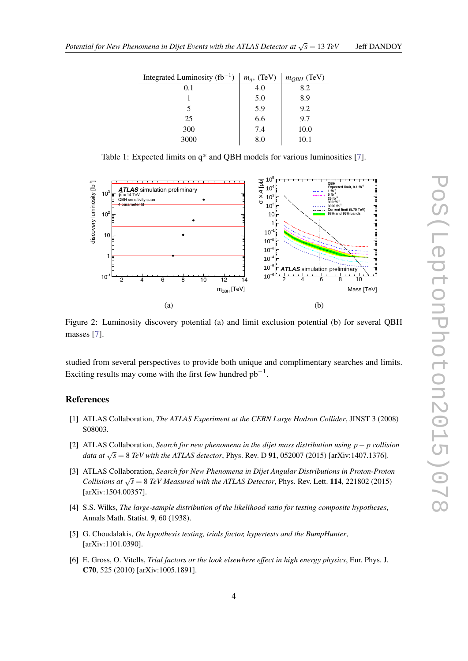<span id="page-3-0"></span>

| Integrated Luminosity $(fb^{-1})$ | $m_{q*}$ (TeV) | $m_{QBH}$ (TeV) |
|-----------------------------------|----------------|-----------------|
| 0.1                               | 4.0            | 8.2             |
|                                   | 5.0            | 8.9             |
|                                   | 5.9            | 9.2             |
| 25                                | 6.6            | 9.7             |
| 300                               | 7.4            | 10.0            |
| 3000                              | 8.0            | 10.1            |

Table 1: Expected limits on q\* and QBH models for various luminosities [\[7\]](#page-4-0).



Figure 2: Luminosity discovery potential (a) and limit exclusion potential (b) for several QBH masses [[7](#page-4-0)].

studied from several perspectives to provide both unique and complimentary searches and limits. Exciting results may come with the first few hundred  $pb^{-1}$ .

## **References**

- [1] ATLAS Collaboration, *The ATLAS Experiment at the CERN Large Hadron Collider*, JINST 3 (2008) S08003.
- [2] ATLAS Collaboration, *Search for new phenomena in the dijet mass distribution using p*− *p collision data at*  $\sqrt{s} = 8$  *TeV with the ATLAS detector*, Phys. Rev. D **91**, 052007 (2015) [arXiv:1407.1376].
- [3] ATLAS Collaboration, *Search for New Phenomena in Dijet Angular Distributions in Proton-Proton Collisions at*  $\sqrt{s} = 8$  *TeV Measured with the ATLAS Detector*, Phys. Rev. Lett. **114**, 221802 (2015) [arXiv:1504.00357].
- [4] S.S. Wilks, *The large-sample distribution of the likelihood ratio for testing composite hypotheses*, Annals Math. Statist. 9, 60 (1938).
- [5] G. Choudalakis, *On hypothesis testing, trials factor, hypertests and the BumpHunter*, [arXiv:1101.0390].
- [6] E. Gross, O. Vitells, *Trial factors or the look elsewhere effect in high energy physics*, Eur. Phys. J. C70, 525 (2010) [arXiv:1005.1891].